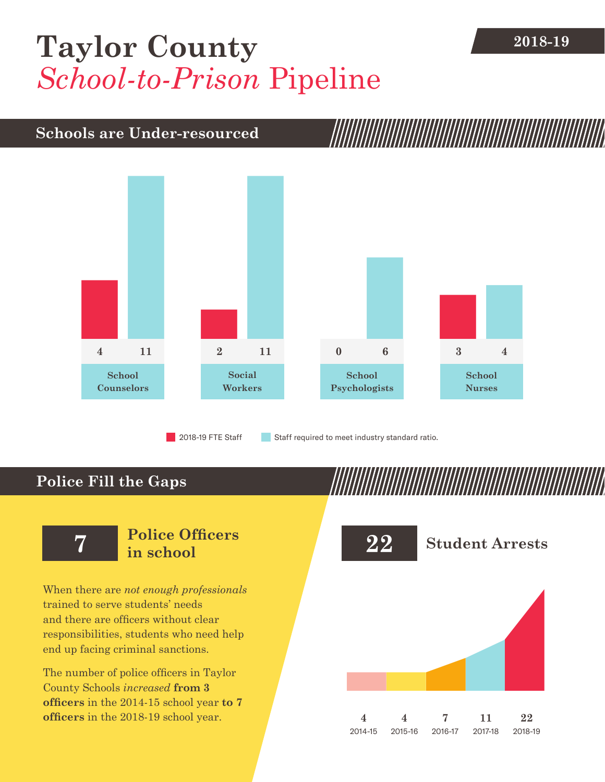## **2018-19 [Taylor County](DBF_County)** *School-to-Prison* Pipeline

#### **Schools are Under-resourced**



2018-19 FTE Staff **Staff required to meet industry standard ratio.** 

### **Police Fill the Gaps**

When there are *not enough professionals* trained to serve students' needs and there are officers without clear responsibilities, students who need help end up facing criminal sanctions.

The number of police officers in [Taylor](DBF_County)  [County](DBF_County) Schools *increased* **from [3](DBF_PO1415) officers** in the 2014-15 school year **to [7](DBF_PO) officers** in the 2018-19 school year.